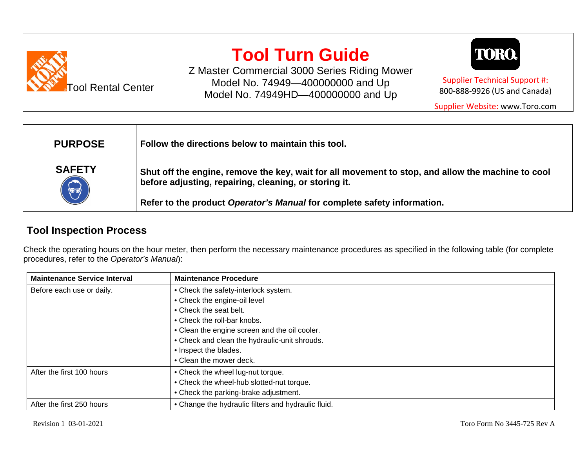

# **Tool Turn Guide**

Z Master Commercial 3000 Series Riding Mower Model No. 74949—400000000 and Up Model No. 74949HD—400000000 and Up



Supplier Technical Support #: 800-888-9926 (US and Canada)

Supplier Website: www.Toro.com

| <b>PURPOSE</b>              | Follow the directions below to maintain this tool.                                                                                                         |  |
|-----------------------------|------------------------------------------------------------------------------------------------------------------------------------------------------------|--|
| <b>SAFETY</b><br>$\bigodot$ | Shut off the engine, remove the key, wait for all movement to stop, and allow the machine to cool<br>before adjusting, repairing, cleaning, or storing it. |  |
|                             | Refer to the product Operator's Manual for complete safety information.                                                                                    |  |

### **Tool Inspection Process**

Check the operating hours on the hour meter, then perform the necessary maintenance procedures as specified in the following table (for complete procedures, refer to the *Operator's Manual*):

| <b>Maintenance Service Interval</b> | <b>Maintenance Procedure</b>                        |
|-------------------------------------|-----------------------------------------------------|
| Before each use or daily.           | • Check the safety-interlock system.                |
|                                     | • Check the engine-oil level                        |
|                                     | • Check the seat belt.                              |
|                                     | • Check the roll-bar knobs.                         |
|                                     | • Clean the engine screen and the oil cooler.       |
|                                     | • Check and clean the hydraulic-unit shrouds.       |
|                                     | • Inspect the blades.                               |
|                                     | • Clean the mower deck.                             |
| After the first 100 hours           | • Check the wheel lug-nut torque.                   |
|                                     | • Check the wheel-hub slotted-nut torque.           |
|                                     | • Check the parking-brake adjustment.               |
| After the first 250 hours           | • Change the hydraulic filters and hydraulic fluid. |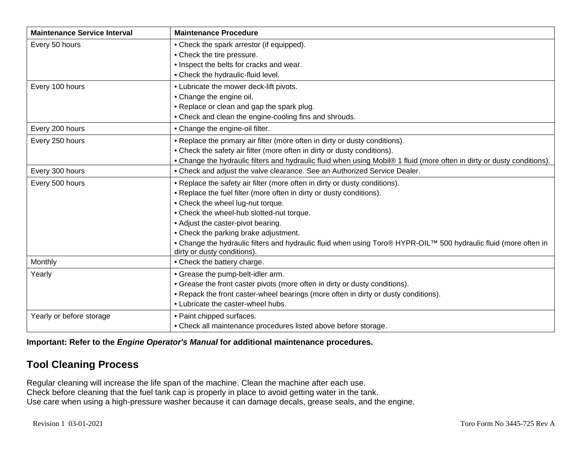| <b>Maintenance Service Interval</b> | <b>Maintenance Procedure</b>                                                                                                                    |  |
|-------------------------------------|-------------------------------------------------------------------------------------------------------------------------------------------------|--|
| Every 50 hours                      | • Check the spark arrestor (if equipped).                                                                                                       |  |
|                                     | • Check the tire pressure.                                                                                                                      |  |
|                                     | • Inspect the belts for cracks and wear.                                                                                                        |  |
|                                     | • Check the hydraulic-fluid level.                                                                                                              |  |
| Every 100 hours                     | • Lubricate the mower deck-lift pivots.                                                                                                         |  |
|                                     | • Change the engine oil.                                                                                                                        |  |
|                                     | • Replace or clean and gap the spark plug.                                                                                                      |  |
|                                     | • Check and clean the engine-cooling fins and shrouds.                                                                                          |  |
| Every 200 hours                     | • Change the engine-oil filter.                                                                                                                 |  |
| Every 250 hours                     | • Replace the primary air filter (more often in dirty or dusty conditions).                                                                     |  |
|                                     | • Check the safety air filter (more often in dirty or dusty conditions).                                                                        |  |
|                                     | • Change the hydraulic filters and hydraulic fluid when using Mobil® 1 fluid (more often in dirty or dusty conditions).                         |  |
| Every 300 hours                     | • Check and adjust the valve clearance. See an Authorized Service Dealer.                                                                       |  |
| Every 500 hours                     | • Replace the safety air filter (more often in dirty or dusty conditions).                                                                      |  |
|                                     | • Replace the fuel filter (more often in dirty or dusty conditions).                                                                            |  |
|                                     | • Check the wheel lug-nut torque.                                                                                                               |  |
|                                     | • Check the wheel-hub slotted-nut torque.                                                                                                       |  |
|                                     | • Adjust the caster-pivot bearing.                                                                                                              |  |
|                                     | • Check the parking brake adjustment.                                                                                                           |  |
|                                     | • Change the hydraulic filters and hydraulic fluid when using Toro® HYPR-OIL™ 500 hydraulic fluid (more often in<br>dirty or dusty conditions). |  |
| Monthly                             | • Check the battery charge.                                                                                                                     |  |
| Yearly                              | • Grease the pump-belt-idler arm.                                                                                                               |  |
|                                     | • Grease the front caster pivots (more often in dirty or dusty conditions).                                                                     |  |
|                                     | • Repack the front caster-wheel bearings (more often in dirty or dusty conditions).                                                             |  |
|                                     | • Lubricate the caster-wheel hubs.                                                                                                              |  |
| Yearly or before storage            | • Paint chipped surfaces.                                                                                                                       |  |
|                                     | • Check all maintenance procedures listed above before storage.                                                                                 |  |

**Important: Refer to the** *Engine Operator's Manual* **for additional maintenance procedures.**

### **Tool Cleaning Process**

Regular cleaning will increase the life span of the machine. Clean the machine after each use. Check before cleaning that the fuel tank cap is properly in place to avoid getting water in the tank. Use care when using a high-pressure washer because it can damage decals, grease seals, and the engine.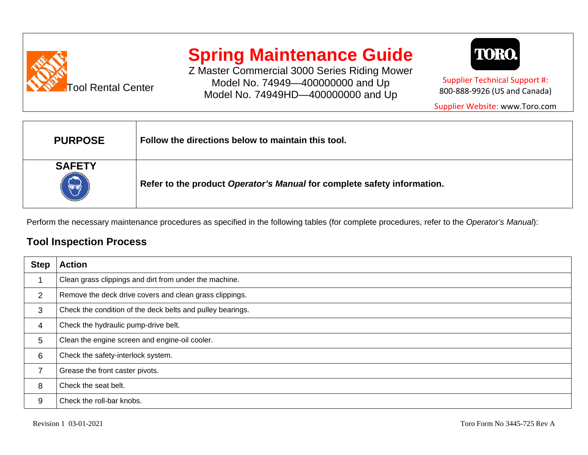

# **Spring Maintenance Guide**

Z Master Commercial 3000 Series Riding Mower Model No. 74949—400000000 and Up Model No. 74949HD—400000000 and Up



Supplier Technical Support #: 800-888-9926 (US and Canada)

Supplier Website: www.Toro.com

| <b>PURPOSE</b>        | Follow the directions below to maintain this tool.                      |  |
|-----------------------|-------------------------------------------------------------------------|--|
| <b>SAFETY</b><br>(UU) | Refer to the product Operator's Manual for complete safety information. |  |

Perform the necessary maintenance procedures as specified in the following tables (for complete procedures, refer to the *Operator's Manual*):

#### **Tool Inspection Process**

| <b>Step</b> | <b>Action</b>                                              |
|-------------|------------------------------------------------------------|
|             | Clean grass clippings and dirt from under the machine.     |
| 2           | Remove the deck drive covers and clean grass clippings.    |
| 3           | Check the condition of the deck belts and pulley bearings. |
| 4           | Check the hydraulic pump-drive belt.                       |
| 5           | Clean the engine screen and engine-oil cooler.             |
| 6           | Check the safety-interlock system.                         |
|             | Grease the front caster pivots.                            |
| 8           | Check the seat belt.                                       |
| 9           | Check the roll-bar knobs.                                  |